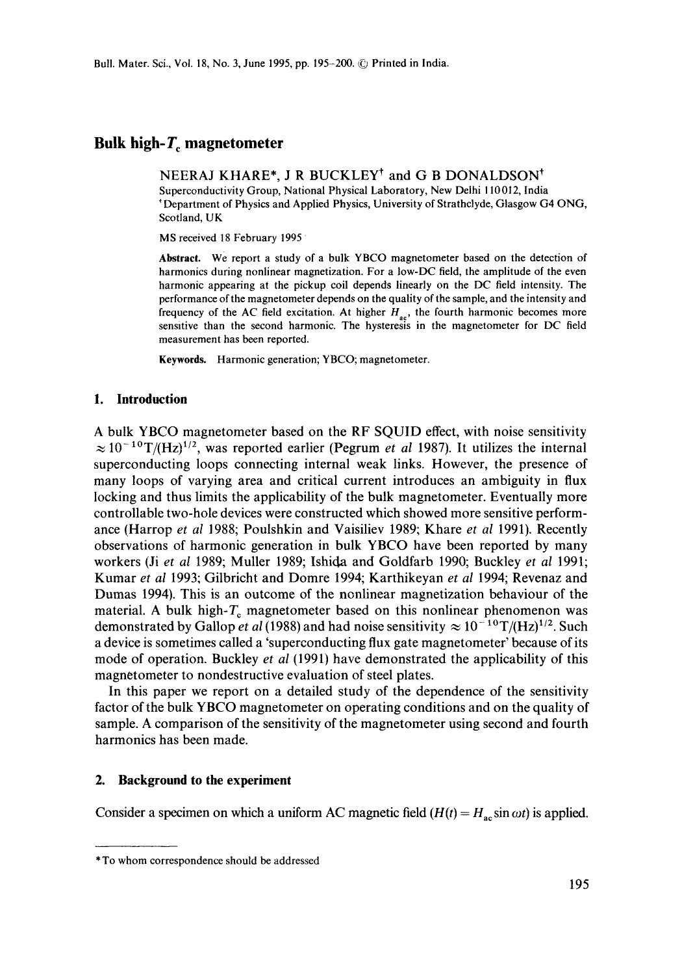# Bulk high- $T_c$  magnetometer

NEERAJ KHARE\*, J R BUCKLEY<sup>†</sup> and G B DONALDSON<sup>†</sup> Superconductivity Group, National Physical Laboratory, New Delhi 110012, India Department of Physics and Applied Physics, University of Strathclyde, Glasgow G4 ONG, Scotland, UK

MS received 18 February 1995

**Abstract.** We report a study of a bulk YBCO magnetometer based on the detection of harmonics during nonlinear magnetization. For a low-DC field, the amplitude of the even harmonic appearing at the pickup coil depends linearly on the DC field intensity. The performance of the magnetometer depends on the quality of the sample, and the intensity and frequency of the AC field excitation. At higher  $H_{ac}$ , the fourth harmonic becomes more sensitive than the second harmonic. The hysteresis in the magnetometer for DC field measurement has been reported.

Keywords. Harmonic generation; YBCO; magnetometer.

### **1. Introduction**

A bulk YBCO magnetometer based on the RF SQUID effect, with noise sensitivity  $\approx 10^{-10}$ T/(Hz)<sup>1/2</sup>, was reported earlier (Pegrum *et al* 1987). It utilizes the internal superconducting loops connecting internal weak links. However, the presence of many loops of varying area and critical current introduces an ambiguity in flux locking and thus limits the applicability of the bulk magnetometer. Eventually more controllable two-hole devices were constructed which showed more sensitive performance (Harrop *et al* 1988; Poulshkin and Vaisiliev 1989; Khare *et al* 1991). Recently observations of harmonic generation in bulk YBCO have been reported by many workers (Ji *et al* 1989; Muller 1989; Ishid, a and Goldfarb 1990; Buckley *et al* 1991; Kumar *et al* 1993; Gilbricht and Domre 1994; Karthikeyan *et al* 1994; Revenaz and Dumas 1994). This is an outcome of the nonlinear magnetization behaviour of the material. A bulk high- $T_c$  magnetometer based on this nonlinear phenomenon was demonstrated by Gallop *et al* (1988) and had noise sensitivity  $\approx 10^{-10} \text{T} / (\text{Hz})^{1/2}$ . Such a device is sometimes called a 'superconducting flux gate magnetometer' because of its mode of operation. Buckley *et al* (1991) have demonstrated the applicability of this magnetometer to nondestructive evaluation of steel plates.

In this paper we report on a detailed study of the dependence of the sensitivity factor of the bulk YBCO magnetometer on operating conditions and on the quality of sample. A comparison of the sensitivity of the magnetometer using second and fourth harmonics has been made.

### **2. Background to the experiment**

Consider a specimen on which a uniform AC magnetic field  $(H(t) = H<sub>ac</sub> \sin \omega t)$  is applied.

<sup>\*</sup>To whom correspondence should be addressed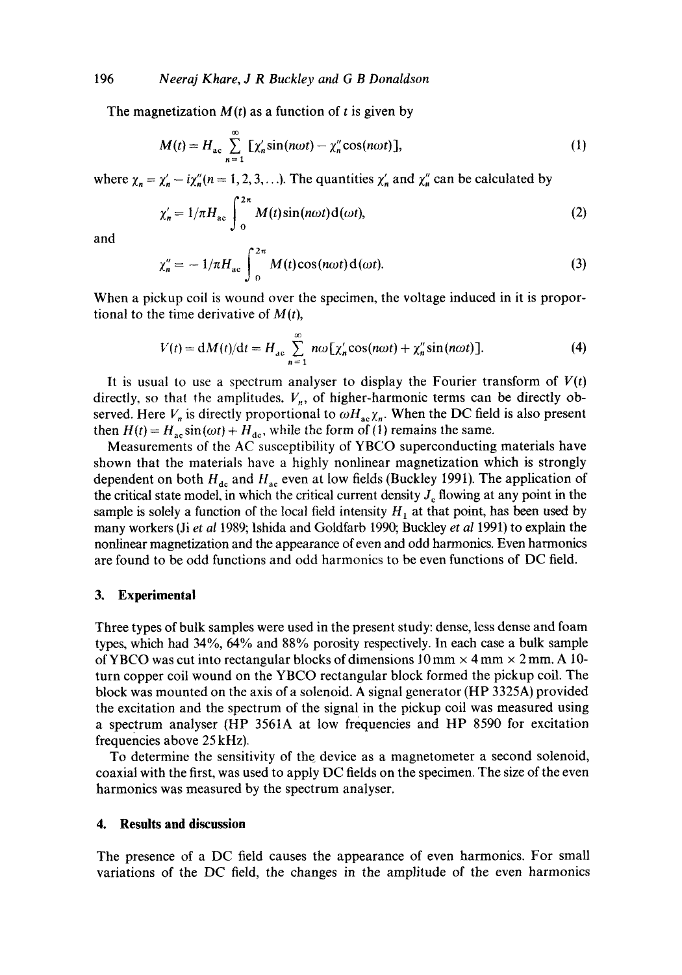The magnetization  $M(t)$  as a function of t is given by

$$
M(t) = H_{ac} \sum_{n=1}^{\infty} \left[ \chi'_n \sin(n\omega t) - \chi''_n \cos(n\omega t) \right],
$$
 (1)

where  $\chi_n = \chi'_n - i\chi''_n(n = 1, 2, 3, \ldots)$ . The quantities  $\chi'_n$  and  $\chi''_n$  can be calculated by

$$
\chi'_n = 1/\pi H_{ac} \int_0^{2\pi} M(t) \sin(n\omega t) \mathbf{d}(\omega t), \tag{2}
$$

and

$$
\chi''_n = -1/\pi H_{ac} \int_0^{2\pi} M(t) \cos(n\omega t) d(\omega t). \tag{3}
$$

When a pickup coil is wound over the specimen, the voltage induced in it is proportional to the time derivative of  $M(t)$ ,

$$
V(t) = dM(t)/dt = H_{ac} \sum_{n=1}^{\infty} n\omega \left[ \chi'_n \cos(n\omega t) + \chi''_n \sin(n\omega t) \right].
$$
 (4)

It is usual to use a spectrum analyser to display the Fourier transform of  $V(t)$ directly, so that the amplitudes.  $V_n$ , of higher-harmonic terms can be directly observed. Here  $V_n$  is directly proportional to  $\omega H_{ac}\chi_n$ . When the DC field is also present then  $H(t) = H_{ac} \sin(\omega t) + H_{dc}$ , while the form of (1) remains the same.

Measurements of the AC susceptibility of YBCO superconducting materials have shown that the materials have a highly nonlinear magnetization which is strongly dependent on both  $H_{dc}$  and  $H_{ac}$  even at low fields (Buckley 1991). The application of the critical state model, in which the critical current density  $J_c$  flowing at any point in the sample is solely a function of the local field intensity  $H_1$  at that point, has been used by many workers (Ji *et al* 1989; lshida and Goldfarb 1990; Buckley *et al* 1991) to explain the nonlinear magnetization and the appearance of even and odd harmonics. Even harmonics are found to be odd functions and odd harmonics to be even functions of DC field.

### **3. Experimental**

Three types of bulk samples were used in the present study: dense, less dense and foam types, which had 34%, 64% and 88% porosity respectively. In each case a bulk sample of YBCO was cut into rectangular blocks of dimensions  $10 \text{ mm} \times 4 \text{ mm} \times 2 \text{ mm}$ . A 10turn copper coil wound on the YBCO rectangular block formed the pickup coil. The block was mounted on the axis of a solenoid. A signal generator (HP 3325A) provided the excitation and the spectrum of the signal in the pickup coil was measured using a spectrum analyser (HP 3561A at low frequencies and HP 8590 for excitation frequencies above 25 kHz).

To determine the sensitivity of the device as a magnetometer a second solenoid, coaxial with the first, was used to apply DC fields on the specimen. The size of the even harmonics was measured by the spectrum analyser.

#### **4. Results and discussion**

The presence of a DC field causes the appearance of even harmonics. For small variations of the DC field, the changes in the amplitude of the even harmonics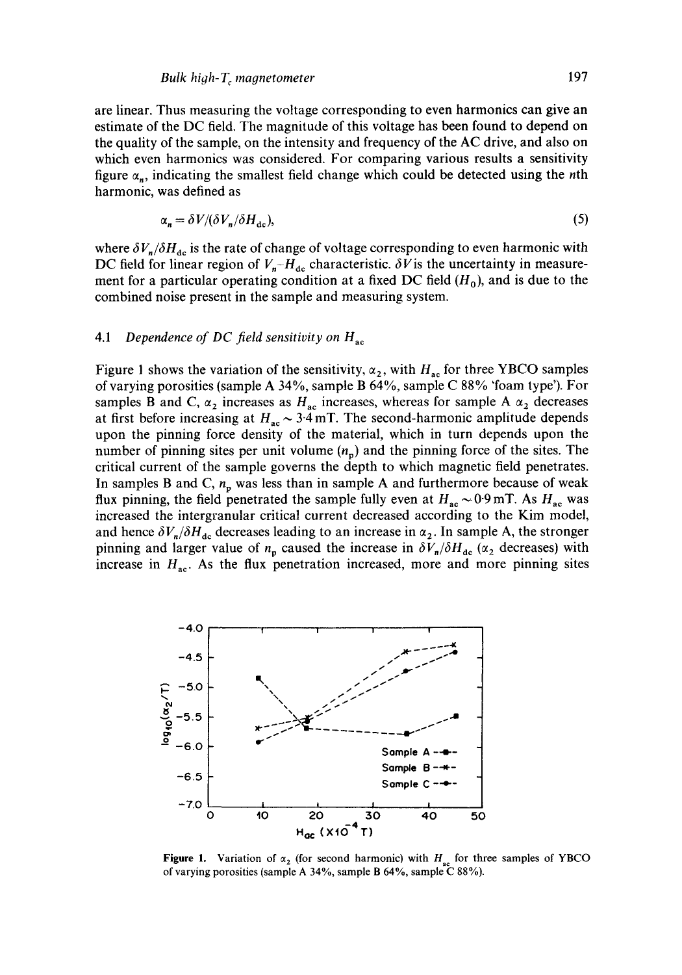are linear. Thus measuring the voltage corresponding to even harmonics can give an estimate of the DC field. The magnitude of this voltage has been found to depend on the quality of the sample, on the intensity and frequency of the AC drive, and also on which even harmonics was considered. For comparing various results a sensitivity figure  $\alpha_n$ , indicating the smallest field change which could be detected using the *n*th harmonic, was defined as

$$
\alpha_n = \delta V / (\delta V_n / \delta H_{\text{dc}}),\tag{5}
$$

where  $\delta V_n/\delta H_{\text{dc}}$  is the rate of change of voltage corresponding to even harmonic with DC field for linear region of  $V_{n}$ - $H_{\text{de}}$  characteristic.  $\delta V$  is the uncertainty in measurement for a particular operating condition at a fixed DC field  $(H_0)$ , and is due to the combined noise present in the sample and measuring system.

### 4.1 *Dependence of DC field sensitivity on H*<sub>ac</sub>

Figure 1 shows the variation of the sensitivity,  $\alpha_2$ , with  $H_{ac}$  for three YBCO samples of varying porosities (sample A 34%, sample B 64%, sample C 88% 'foam type'). For samples B and C,  $\alpha_2$  increases as H<sub>ac</sub> increases, whereas for sample A  $\alpha_2$  decreases at first before increasing at  $H_{ac} \sim 3.4$  mT. The second-harmonic amplitude depends upon the pinning force density of the material, which in turn depends upon the number of pinning sites per unit volume  $(n_n)$  and the pinning force of the sites. The critical current of the sample governs the depth to which magnetic field penetrates. In samples B and C,  $n_p$  was less than in sample A and furthermore because of weak flux pinning, the field penetrated the sample fully even at  $H_{ac} \sim 0.9$  mT. As  $H_{ac}$  was increased the intergranular critical current decreased according to the Kim model, and hence  $\delta V_n/\delta H_{\text{dc}}$  decreases leading to an increase in  $\alpha_2$ . In sample A, the stronger pinning and larger value of  $n_p$  caused the increase in  $\delta V_n/\delta H_{\text{dc}}$  ( $\alpha_2$  decreases) with increase in  $H_{ac}$ . As the flux penetration increased, more and more pinning sites



Figure 1. Variation of  $\alpha_2$  (for second harmonic) with  $H_{ac}$  for three samples of YBCO of varying porosities (sample A 34%, sample B 64%, sample C 88%).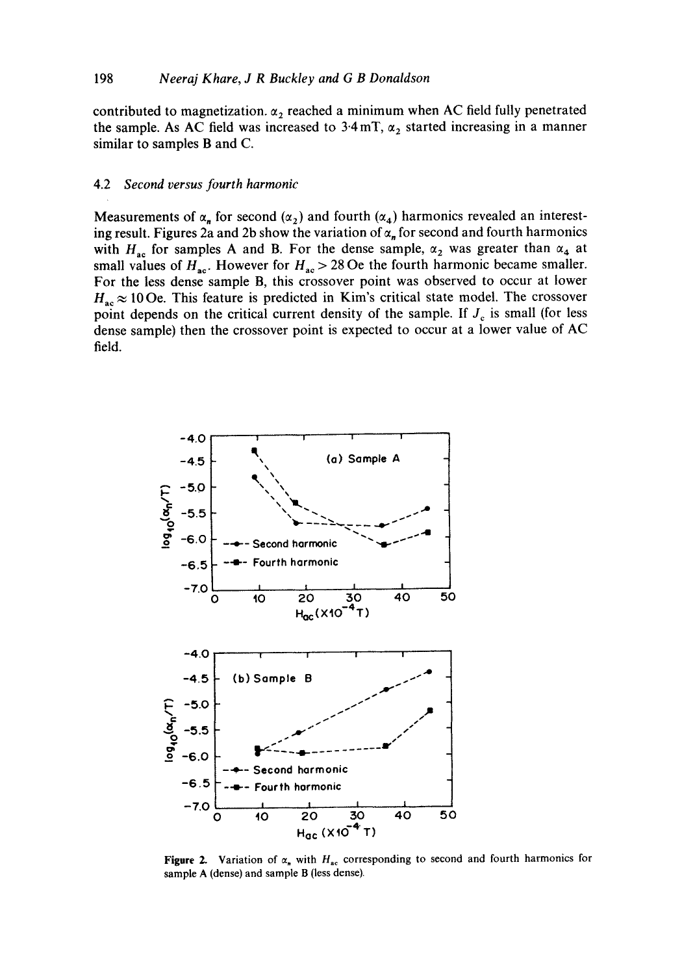contributed to magnetization.  $\alpha_2$  reached a minimum when AC field fully penetrated the sample. As AC field was increased to  $3.4 \text{ mT}$ ,  $\alpha_2$  started increasing in a manner **similar to samples B and C.** 

#### **4.2** *Second versus fourth harmonic*

**Measurements of**  $\alpha_n$  **for second (** $\alpha_2$ **) and fourth (** $\alpha_4$ **) harmonics revealed an interest**ing result. Figures 2a and 2b show the variation of  $\alpha_n$  for second and fourth harmonics with  $H_{ac}$  for samples A and B. For the dense sample,  $\alpha_2$  was greater than  $\alpha_4$  at small values of  $H_{ac}$ . However for  $H_{ac} > 28$  Oe the fourth harmonic became smaller. **For the less dense sample B, this crossover point was observed to occur at lower**   $H_{ac} \approx 10$  Oe. This feature is predicted in Kim's critical state model. The crossover point depends on the critical current density of the sample. If  $J_c$  is small (for less **dense sample) then the crossover point is expected to occur at a lower value of AC field.** 



**Figure 2.** Variation of  $\alpha_n$  with  $H_{ac}$  corresponding to second and fourth harmonics for **sample A (dense) and sample B (less dense).**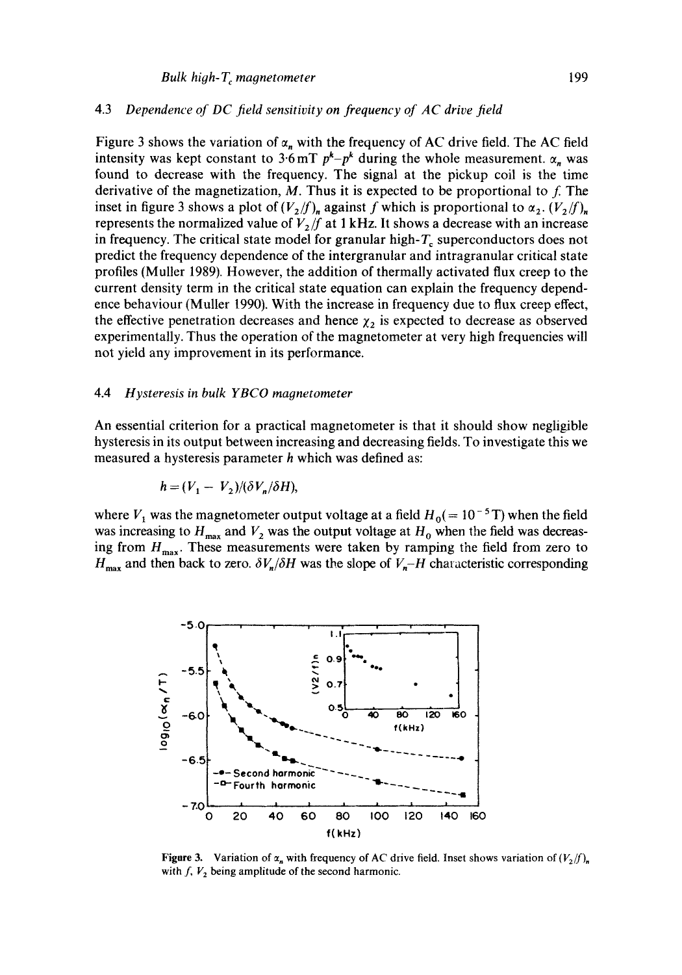## 4.3 *Dependence of DC field sensitivity on frequency of AC drive field*

Figure 3 shows the variation of  $\alpha_n$  with the frequency of AC drive field. The AC field intensity was kept constant to  $3.6$  mT  $p^k-p^k$  during the whole measurement.  $\alpha_n$  was found to decrease with the frequency. The signal at the pickup coil is the time derivative of the magnetization, M. Thus it is expected to be proportional to  $f$ . The inset in figure 3 shows a plot of  $(V_2/f)_n$  against f which is proportional to  $\alpha_2$ .  $(V_2/f)_n$ represents the normalized value of  $V_2/f$  at 1 kHz. It shows a decrease with an increase in frequency. The critical state model for granular high- $T_c$  superconductors does not predict the frequency dependence of the intergranular and intragranular critical state profiles (Muller 1989). However, the addition of thermally activated flux creep to the current density term in the critical state equation can explain the frequency dependence behaviour (Muller 1990). With the increase in frequency due to flux creep effect, the effective penetration decreases and hence  $\chi_2$  is expected to decrease as observed experimentally. Thus the operation of the magnetometer at very high frequencies will not yield any improvement in its performance.

#### 4.4 *Hysteresis in bulk YBCO magnetometer*

An essential criterion for a practical magnetometer is that it should show negligible hysteresis in its output between increasing and decreasing fields. To investigate this we measured a hysteresis parameter h which was defined as:

$$
h = (V_1 - V_2)/(\delta V_n/\delta H),
$$

where  $V_1$  was the magnetometer output voltage at a field  $H_0 (= 10^{-5} \text{ T})$  when the field was increasing to  $H_{\text{max}}$  and  $V_2$  was the output voltage at  $H_0$  when the field was decreasing from  $H_{\text{max}}$ . These measurements were taken by ramping the field from zero to  $H_{\text{max}}$  and then back to zero.  $\delta V_{n}/\delta H$  was the slope of  $V_{n}-H$  characteristic corresponding



Figure 3. Variation of  $\alpha_n$  with frequency of AC drive field. Inset shows variation of  $(V_2/f)_n$ with  $f, V_2$  being amplitude of the second harmonic.